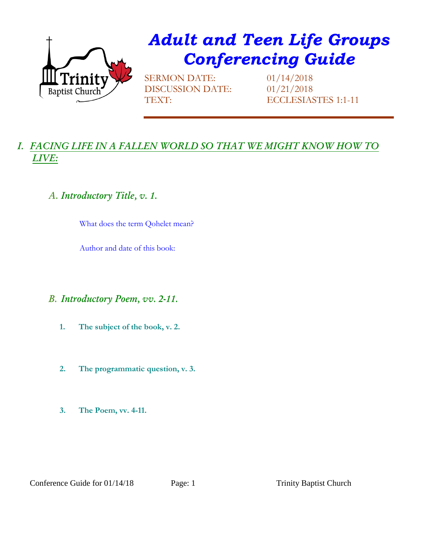

# *Adult and Teen Life Groups Conferencing Guide*

SERMON DATE: 01/14/2018 DISCUSSION DATE: 01/21/2018

TEXT: ECCLESIASTES 1:1-11

## *I. FACING LIFE IN A FALLEN WORLD SO THAT WE MIGHT KNOW HOW TO LIVE:*

## *A. Introductory Title, v. 1.*

What does the term Qohelet mean?

Author and date of this book:

#### *B. Introductory Poem, vv. 2-11.*

- **1. The subject of the book, v. 2.**
- **2. The programmatic question, v. 3.**
- **3. The Poem, vv. 4-11.**

Conference Guide for 01/14/18 Page: 1 Trinity Baptist Church